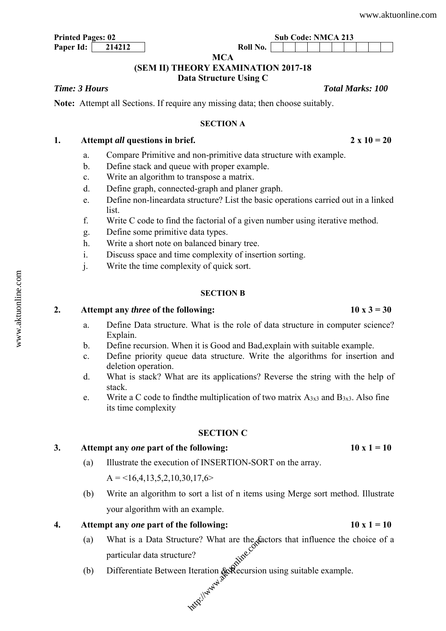# **Paper Id:** 214212 Roll No.

#### **MCA**

#### **(SEM II) THEORY EXAMINATION 2017-18**

## **Data Structure Using C**

#### *Time: 3 Hours Total Marks: 100*

**Note:** Attempt all Sections. If require any missing data; then choose suitably.

#### **SECTION A**

#### 1. Attempt *all* questions in brief. 2  $\times$  10 = 20

- a. Compare Primitive and non-primitive data structure with example.
- b. Define stack and queue with proper example.
- c. Write an algorithm to transpose a matrix.
- d. Define graph, connected-graph and planer graph.
- e. Define non-lineardata structure? List the basic operations carried out in a linked list.
- f. Write C code to find the factorial of a given number using iterative method.
- g. Define some primitive data types.
- h. Write a short note on balanced binary tree.
- i. Discuss space and time complexity of insertion sorting.
- j. Write the time complexity of quick sort.

#### **SECTION B**

#### 2. Attempt any *three* of the following:  $10 \times 3 = 30$

- a. Define Data structure. What is the role of data structure in computer science? Explain.
- b. Define recursion. When it is Good and Bad,explain with suitable example.
- c. Define priority queue data structure. Write the algorithms for insertion and deletion operation.
- d. What is stack? What are its applications? Reverse the string with the help of stack.
- e. Write a C code to find the multiplication of two matrix  $A_{3x3}$  and  $B_{3x3}$ . Also fine its time complexity

#### **SECTION C**

### 3. Attempt any *one* part of the following:  $10 \times 1 = 10$

(a) Illustrate the execution of INSERTION-SORT on the array.

 $A = \langle 16, 4, 13, 5, 2, 10, 30, 17, 6 \rangle$ 

(b) Write an algorithm to sort a list of n items using Merge sort method. Illustrate your algorithm with an example.

**4. Attempt any** *one* **part of the following: 10 x 1 = 10** 

- (a) What is a Data Structure? What are the factors that influence the choice of a particular data structure? what are the day<br>e?<br>Iteration & Recursion<br>xxxi<sup>1/4444</sup>2<br>xxxi<sup>1/44442</sup>
- (b) Differentiate Between Iteration  $\&$ Recursion using suitable example.